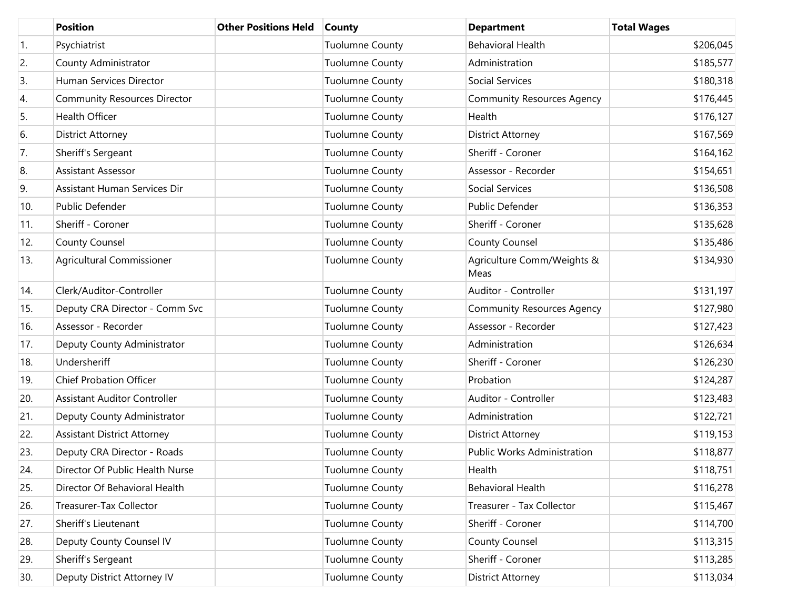|                  | <b>Position</b>                     | <b>Other Positions Held</b> | <b>County</b>          | <b>Department</b>                  | <b>Total Wages</b> |
|------------------|-------------------------------------|-----------------------------|------------------------|------------------------------------|--------------------|
| $\overline{1}$ . | Psychiatrist                        |                             | <b>Tuolumne County</b> | <b>Behavioral Health</b>           | \$206,045          |
| 2.               | County Administrator                |                             | <b>Tuolumne County</b> | Administration                     | \$185,577          |
| 3.               | Human Services Director             |                             | <b>Tuolumne County</b> | Social Services                    | \$180,318          |
| 4.               | <b>Community Resources Director</b> |                             | <b>Tuolumne County</b> | <b>Community Resources Agency</b>  | \$176,445          |
| 5.               | <b>Health Officer</b>               |                             | <b>Tuolumne County</b> | Health                             | \$176,127          |
| 6.               | <b>District Attorney</b>            |                             | <b>Tuolumne County</b> | <b>District Attorney</b>           | \$167,569          |
| 7.               | Sheriff's Sergeant                  |                             | <b>Tuolumne County</b> | Sheriff - Coroner                  | \$164,162          |
| 8.               | <b>Assistant Assessor</b>           |                             | <b>Tuolumne County</b> | Assessor - Recorder                | \$154,651          |
| 9.               | Assistant Human Services Dir        |                             | <b>Tuolumne County</b> | Social Services                    | \$136,508          |
| 10.              | Public Defender                     |                             | <b>Tuolumne County</b> | Public Defender                    | \$136,353          |
| 11.              | Sheriff - Coroner                   |                             | <b>Tuolumne County</b> | Sheriff - Coroner                  | \$135,628          |
| 12.              | County Counsel                      |                             | <b>Tuolumne County</b> | <b>County Counsel</b>              | \$135,486          |
| 13.              | Agricultural Commissioner           |                             | <b>Tuolumne County</b> | Agriculture Comm/Weights &<br>Meas | \$134,930          |
| 14.              | Clerk/Auditor-Controller            |                             | <b>Tuolumne County</b> | Auditor - Controller               | \$131,197          |
| 15.              | Deputy CRA Director - Comm Svc      |                             | <b>Tuolumne County</b> | <b>Community Resources Agency</b>  | \$127,980          |
| 16.              | Assessor - Recorder                 |                             | <b>Tuolumne County</b> | Assessor - Recorder                | \$127,423          |
| 17.              | Deputy County Administrator         |                             | <b>Tuolumne County</b> | Administration                     | \$126,634          |
| 18.              | Undersheriff                        |                             | <b>Tuolumne County</b> | Sheriff - Coroner                  | \$126,230          |
| 19.              | <b>Chief Probation Officer</b>      |                             | <b>Tuolumne County</b> | Probation                          | \$124,287          |
| 20.              | <b>Assistant Auditor Controller</b> |                             | <b>Tuolumne County</b> | Auditor - Controller               | \$123,483          |
| 21.              | Deputy County Administrator         |                             | <b>Tuolumne County</b> | Administration                     | \$122,721          |
| 22.              | <b>Assistant District Attorney</b>  |                             | <b>Tuolumne County</b> | <b>District Attorney</b>           | \$119,153          |
| 23.              | Deputy CRA Director - Roads         |                             | <b>Tuolumne County</b> | <b>Public Works Administration</b> | \$118,877          |
| 24.              | Director Of Public Health Nurse     |                             | <b>Tuolumne County</b> | Health                             | \$118,751          |
| 25.              | Director Of Behavioral Health       |                             | <b>Tuolumne County</b> | <b>Behavioral Health</b>           | \$116,278          |
| 26.              | Treasurer-Tax Collector             |                             | <b>Tuolumne County</b> | Treasurer - Tax Collector          | \$115,467          |
| 27.              | Sheriff's Lieutenant                |                             | <b>Tuolumne County</b> | Sheriff - Coroner                  | \$114,700          |
| 28.              | Deputy County Counsel IV            |                             | <b>Tuolumne County</b> | <b>County Counsel</b>              | \$113,315          |
| 29.              | Sheriff's Sergeant                  |                             | <b>Tuolumne County</b> | Sheriff - Coroner                  | \$113,285          |
| 30.              | Deputy District Attorney IV         |                             | <b>Tuolumne County</b> | <b>District Attorney</b>           | \$113,034          |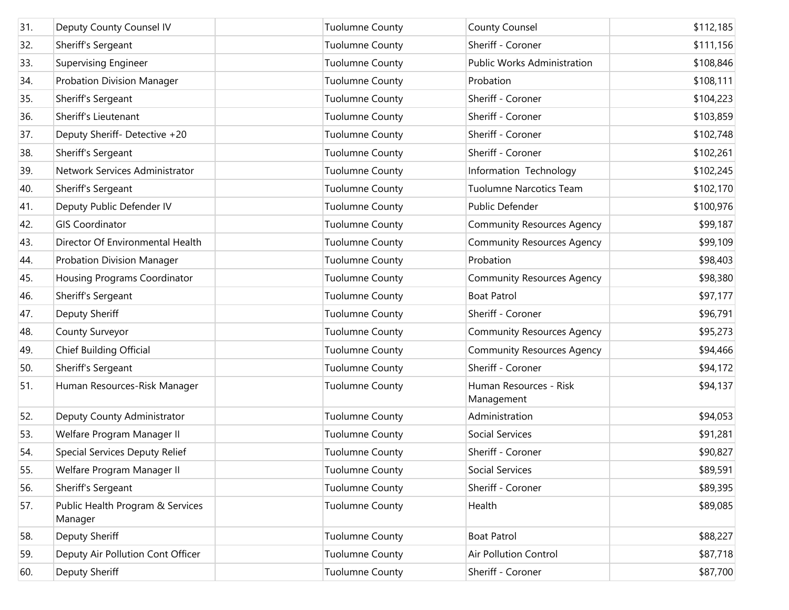| 31. | Deputy County Counsel IV                    | <b>Tuolumne County</b> | <b>County Counsel</b>                | \$112,185 |
|-----|---------------------------------------------|------------------------|--------------------------------------|-----------|
| 32. | Sheriff's Sergeant                          | <b>Tuolumne County</b> | Sheriff - Coroner                    | \$111,156 |
| 33. | Supervising Engineer                        | <b>Tuolumne County</b> | <b>Public Works Administration</b>   | \$108,846 |
| 34. | Probation Division Manager                  | <b>Tuolumne County</b> | Probation                            | \$108,111 |
| 35. | Sheriff's Sergeant                          | <b>Tuolumne County</b> | Sheriff - Coroner                    | \$104,223 |
| 36. | Sheriff's Lieutenant                        | <b>Tuolumne County</b> | Sheriff - Coroner                    | \$103,859 |
| 37. | Deputy Sheriff- Detective +20               | <b>Tuolumne County</b> | Sheriff - Coroner                    | \$102,748 |
| 38. | Sheriff's Sergeant                          | <b>Tuolumne County</b> | Sheriff - Coroner                    | \$102,261 |
| 39. | Network Services Administrator              | <b>Tuolumne County</b> | Information Technology               | \$102,245 |
| 40. | Sheriff's Sergeant                          | <b>Tuolumne County</b> | <b>Tuolumne Narcotics Team</b>       | \$102,170 |
| 41. | Deputy Public Defender IV                   | <b>Tuolumne County</b> | Public Defender                      | \$100,976 |
| 42. | <b>GIS Coordinator</b>                      | <b>Tuolumne County</b> | <b>Community Resources Agency</b>    | \$99,187  |
| 43. | Director Of Environmental Health            | <b>Tuolumne County</b> | <b>Community Resources Agency</b>    | \$99,109  |
| 44. | <b>Probation Division Manager</b>           | <b>Tuolumne County</b> | Probation                            | \$98,403  |
| 45. | Housing Programs Coordinator                | <b>Tuolumne County</b> | <b>Community Resources Agency</b>    | \$98,380  |
| 46. | Sheriff's Sergeant                          | <b>Tuolumne County</b> | <b>Boat Patrol</b>                   | \$97,177  |
| 47. | Deputy Sheriff                              | <b>Tuolumne County</b> | Sheriff - Coroner                    | \$96,791  |
| 48. | County Surveyor                             | <b>Tuolumne County</b> | <b>Community Resources Agency</b>    | \$95,273  |
| 49. | Chief Building Official                     | <b>Tuolumne County</b> | <b>Community Resources Agency</b>    | \$94,466  |
| 50. | Sheriff's Sergeant                          | <b>Tuolumne County</b> | Sheriff - Coroner                    | \$94,172  |
| 51. | Human Resources-Risk Manager                | <b>Tuolumne County</b> | Human Resources - Risk<br>Management | \$94,137  |
| 52. | Deputy County Administrator                 | <b>Tuolumne County</b> | Administration                       | \$94,053  |
| 53. | Welfare Program Manager II                  | <b>Tuolumne County</b> | Social Services                      | \$91,281  |
| 54. | Special Services Deputy Relief              | <b>Tuolumne County</b> | Sheriff - Coroner                    | \$90,827  |
| 55. | Welfare Program Manager II                  | <b>Tuolumne County</b> | Social Services                      | \$89,591  |
| 56. | Sheriff's Sergeant                          | <b>Tuolumne County</b> | Sheriff - Coroner                    | \$89,395  |
| 57. | Public Health Program & Services<br>Manager | <b>Tuolumne County</b> | Health                               | \$89,085  |
| 58. | Deputy Sheriff                              | <b>Tuolumne County</b> | <b>Boat Patrol</b>                   | \$88,227  |
| 59. | Deputy Air Pollution Cont Officer           | <b>Tuolumne County</b> | Air Pollution Control                | \$87,718  |
| 60. | Deputy Sheriff                              | <b>Tuolumne County</b> | Sheriff - Coroner                    | \$87,700  |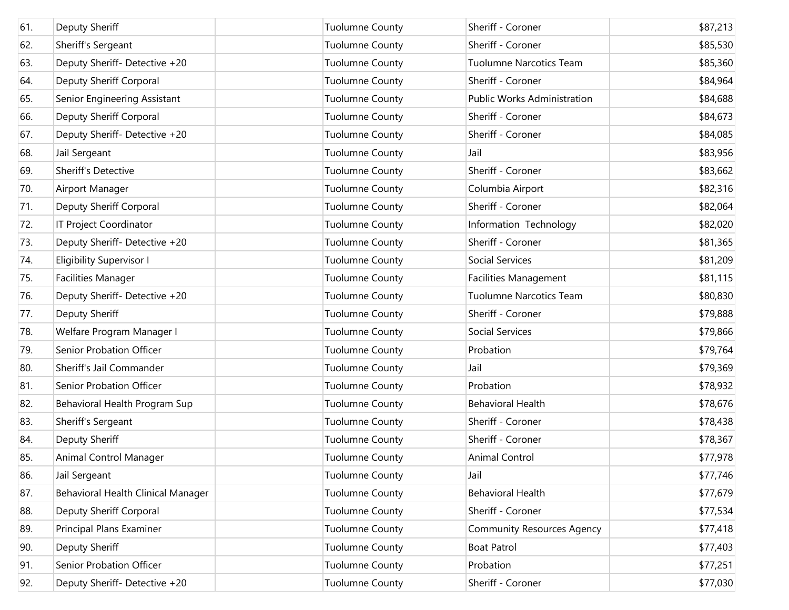| 61. | Deputy Sheriff                     | <b>Tuolumne County</b> | Sheriff - Coroner                 | \$87,213 |
|-----|------------------------------------|------------------------|-----------------------------------|----------|
| 62. | Sheriff's Sergeant                 | <b>Tuolumne County</b> | Sheriff - Coroner                 | \$85,530 |
| 63. | Deputy Sheriff- Detective +20      | <b>Tuolumne County</b> | <b>Tuolumne Narcotics Team</b>    | \$85,360 |
| 64. | Deputy Sheriff Corporal            | <b>Tuolumne County</b> | Sheriff - Coroner                 | \$84,964 |
| 65. | Senior Engineering Assistant       | <b>Tuolumne County</b> | Public Works Administration       | \$84,688 |
| 66. | Deputy Sheriff Corporal            | <b>Tuolumne County</b> | Sheriff - Coroner                 | \$84,673 |
| 67. | Deputy Sheriff- Detective +20      | <b>Tuolumne County</b> | Sheriff - Coroner                 | \$84,085 |
| 68. | Jail Sergeant                      | <b>Tuolumne County</b> | Jail                              | \$83,956 |
| 69. | Sheriff's Detective                | <b>Tuolumne County</b> | Sheriff - Coroner                 | \$83,662 |
| 70. | Airport Manager                    | <b>Tuolumne County</b> | Columbia Airport                  | \$82,316 |
| 71. | Deputy Sheriff Corporal            | <b>Tuolumne County</b> | Sheriff - Coroner                 | \$82,064 |
| 72. | IT Project Coordinator             | <b>Tuolumne County</b> | Information Technology            | \$82,020 |
| 73. | Deputy Sheriff- Detective +20      | <b>Tuolumne County</b> | Sheriff - Coroner                 | \$81,365 |
| 74. | <b>Eligibility Supervisor I</b>    | <b>Tuolumne County</b> | Social Services                   | \$81,209 |
| 75. | <b>Facilities Manager</b>          | <b>Tuolumne County</b> | Facilities Management             | \$81,115 |
| 76. | Deputy Sheriff- Detective +20      | <b>Tuolumne County</b> | <b>Tuolumne Narcotics Team</b>    | \$80,830 |
| 77. | Deputy Sheriff                     | <b>Tuolumne County</b> | Sheriff - Coroner                 | \$79,888 |
| 78. | Welfare Program Manager I          | <b>Tuolumne County</b> | Social Services                   | \$79,866 |
| 79. | Senior Probation Officer           | <b>Tuolumne County</b> | Probation                         | \$79,764 |
| 80. | Sheriff's Jail Commander           | <b>Tuolumne County</b> | Jail                              | \$79,369 |
| 81. | Senior Probation Officer           | <b>Tuolumne County</b> | Probation                         | \$78,932 |
| 82. | Behavioral Health Program Sup      | <b>Tuolumne County</b> | <b>Behavioral Health</b>          | \$78,676 |
| 83. | Sheriff's Sergeant                 | <b>Tuolumne County</b> | Sheriff - Coroner                 | \$78,438 |
| 84. | Deputy Sheriff                     | <b>Tuolumne County</b> | Sheriff - Coroner                 | \$78,367 |
| 85. | Animal Control Manager             | <b>Tuolumne County</b> | <b>Animal Control</b>             | \$77,978 |
| 86. | Jail Sergeant                      | <b>Tuolumne County</b> | Jail                              | \$77,746 |
| 87. | Behavioral Health Clinical Manager | <b>Tuolumne County</b> | <b>Behavioral Health</b>          | \$77,679 |
| 88. | Deputy Sheriff Corporal            | <b>Tuolumne County</b> | Sheriff - Coroner                 | \$77,534 |
| 89. | Principal Plans Examiner           | <b>Tuolumne County</b> | <b>Community Resources Agency</b> | \$77,418 |
| 90. | Deputy Sheriff                     | <b>Tuolumne County</b> | <b>Boat Patrol</b>                | \$77,403 |
| 91. | Senior Probation Officer           | <b>Tuolumne County</b> | Probation                         | \$77,251 |
| 92. | Deputy Sheriff- Detective +20      | <b>Tuolumne County</b> | Sheriff - Coroner                 | \$77,030 |